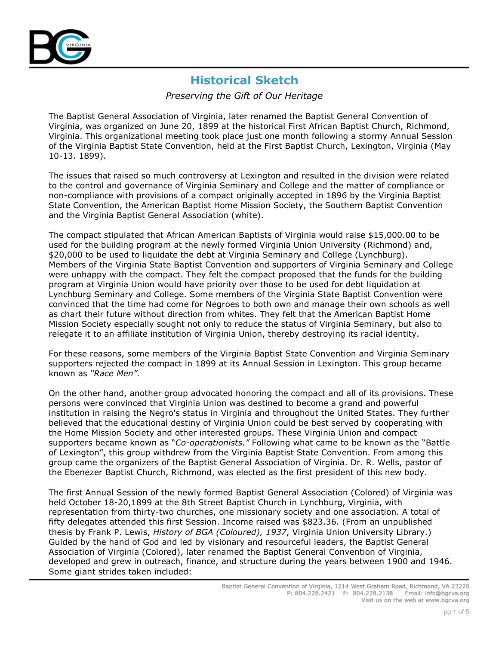

### Preserving the Gift of Our Heritage

The Baptist General Association of Virginia, later renamed the Baptist General Convention of Virginia, was organized on June 20, 1899 at the historical First African Baptist Church, Richmond, Virginia. This organizational meeting took place just one month following a stormy Annual Session of the Virginia Baptist State Convention, held at the First Baptist Church, Lexington, Virginia (May 10-13. 1899).

The issues that raised so much controversy at Lexington and resulted in the division were related to the control and governance of Virginia Seminary and College and the matter of compliance or non-compliance with provisions of a compact originally accepted in 1896 by the Virginia Baptist State Convention, the American Baptist Home Mission Society, the Southern Baptist Convention and the Virginia Baptist General Association (white).

The compact stipulated that African American Baptists of Virginia would raise \$15,000.00 to be used for the building program at the newly formed Virginia Union University (Richmond) and, \$20,000 to be used to liquidate the debt at Virginia Seminary and College (Lynchburg). Members of the Virginia State Baptist Convention and supporters of Virginia Seminary and College were unhappy with the compact. They felt the compact proposed that the funds for the building program at Virginia Union would have priority over those to be used for debt liquidation at Lynchburg Seminary and College. Some members of the Virginia State Baptist Convention were convinced that the time had come for Negroes to both own and manage their own schools as well as chart their future without direction from whites. They felt that the American Baptist Home Mission Society especially sought not only to reduce the status of Virginia Seminary, but also to relegate it to an affiliate institution of Virginia Union, thereby destroying its racial identity.

For these reasons, some members of the Virginia Baptist State Convention and Virginia Seminary supporters rejected the compact in 1899 at its Annual Session in Lexington. This group became known as "Race Men".

On the other hand, another group advocated honoring the compact and all of its provisions. These persons were convinced that Virginia Union was destined to become a grand and powerful institution in raising the Negro's status in Virginia and throughout the United States. They further believed that the educational destiny of Virginia Union could be best served by cooperating with the Home Mission Society and other interested groups. These Virginia Union and compact supporters became known as "Co-operationists." Following what came to be known as the "Battle of Lexington", this group withdrew from the Virginia Baptist State Convention. From among this group came the organizers of the Baptist General Association of Virginia. Dr. R. Wells, pastor of the Ebenezer Baptist Church, Richmond, was elected as the first president of this new body.

The first Annual Session of the newly formed Baptist General Association (Colored) of Virginia was held October 18-20,1899 at the 8th Street Baptist Church in Lynchburg, Virginia, with representation from thirty-two churches, one missionary society and one association. A total of fifty delegates attended this first Session. Income raised was \$823.36. (From an unpublished thesis by Frank P. Lewis, History of BGA (Coloured), 1937, Virginia Union University Library.) Guided by the hand of God and led by visionary and resourceful leaders, the Baptist General Association of Virginia (Colored), later renamed the Baptist General Convention of Virginia, developed and grew in outreach, finance, and structure during the years between 1900 and 1946. Some giant strides taken included: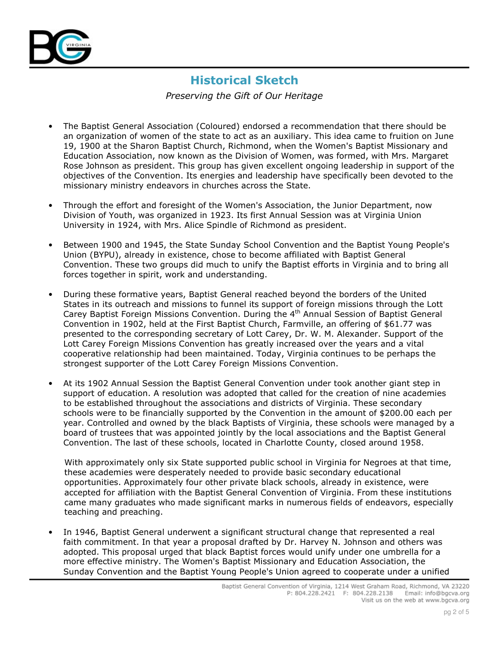

Preserving the Gift of Our Heritage

- The Baptist General Association (Coloured) endorsed a recommendation that there should be an organization of women of the state to act as an auxiliary. This idea came to fruition on June 19, 1900 at the Sharon Baptist Church, Richmond, when the Women's Baptist Missionary and Education Association, now known as the Division of Women, was formed, with Mrs. Margaret Rose Johnson as president. This group has given excellent ongoing leadership in support of the objectives of the Convention. Its energies and leadership have specifically been devoted to the missionary ministry endeavors in churches across the State.
- Through the effort and foresight of the Women's Association, the Junior Department, now  $\bullet$ Division of Youth, was organized in 1923. Its first Annual Session was at Virginia Union University in 1924, with Mrs. Alice Spindle of Richmond as president.
- Between 1900 and 1945, the State Sunday School Convention and the Baptist Young People's  $\bullet$ Union (BYPU), already in existence, chose to become affiliated with Baptist General Convention. These two groups did much to unify the Baptist efforts in Virginia and to bring all forces together in spirit, work and understanding.
- During these formative years, Baptist General reached beyond the borders of the United States in its outreach and missions to funnel its support of foreign missions through the Lott Carey Baptist Foreign Missions Convention. During the 4<sup>th</sup> Annual Session of Baptist General Convention in 1902, held at the First Baptist Church, Farmville, an offering of \$61.77 was presented to the corresponding secretary of Lott Carey, Dr. W. M. Alexander. Support of the Lott Carey Foreign Missions Convention has greatly increased over the years and a vital cooperative relationship had been maintained. Today, Virginia continues to be perhaps the strongest supporter of the Lott Carey Foreign Missions Convention.
- At its 1902 Annual Session the Baptist General Convention under took another giant step in  $\bullet$ support of education. A resolution was adopted that called for the creation of nine academies to be established throughout the associations and districts of Virginia. These secondary schools were to be financially supported by the Convention in the amount of \$200.00 each per year. Controlled and owned by the black Baptists of Virginia, these schools were managed by a board of trustees that was appointed jointly by the local associations and the Baptist General Convention. The last of these schools, located in Charlotte County, closed around 1958.

With approximately only six State supported public school in Virginia for Negroes at that time, these academies were desperately needed to provide basic secondary educational opportunities. Approximately four other private black schools, already in existence, were accepted for affiliation with the Baptist General Convention of Virginia. From these institutions came many graduates who made significant marks in numerous fields of endeavors, especially teaching and preaching.

In 1946, Baptist General underwent a significant structural change that represented a real faith commitment. In that year a proposal drafted by Dr. Harvey N. Johnson and others was adopted. This proposal urged that black Baptist forces would unify under one umbrella for a more effective ministry. The Women's Baptist Missionary and Education Association, the Sunday Convention and the Baptist Young People's Union agreed to cooperate under a unified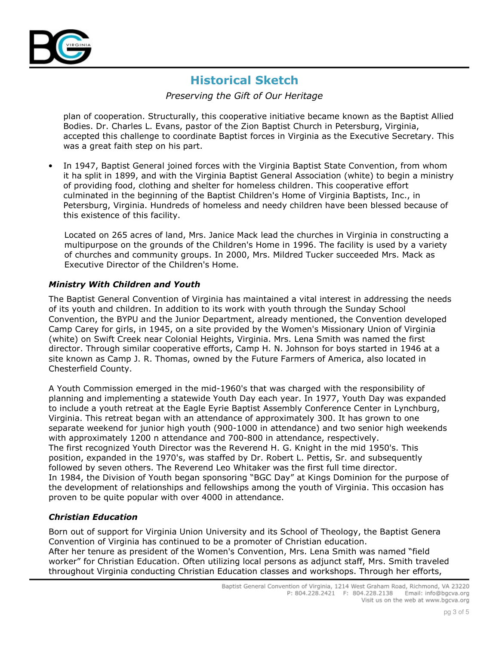

Preserving the Gift of Our Heritage

plan of cooperation. Structurally, this cooperative initiative became known as the Baptist Allied Bodies. Dr. Charles L. Evans, pastor of the Zion Baptist Church in Petersburg, Virginia, accepted this challenge to coordinate Baptist forces in Virginia as the Executive Secretary. This was a great faith step on his part.

In 1947, Baptist General joined forces with the Virginia Baptist State Convention, from whom it ha split in 1899, and with the Virginia Baptist General Association (white) to begin a ministry of providing food, clothing and shelter for homeless children. This cooperative effort culminated in the beginning of the Baptist Children's Home of Virginia Baptists, Inc., in Petersburg, Virginia. Hundreds of homeless and needy children have been blessed because of this existence of this facility.

Located on 265 acres of land, Mrs. Janice Mack lead the churches in Virginia in constructing a multipurpose on the grounds of the Children's Home in 1996. The facility is used by a variety of churches and community groups. In 2000, Mrs. Mildred Tucker succeeded Mrs. Mack as Executive Director of the Children's Home.

### **Ministry With Children and Youth**

The Baptist General Convention of Virginia has maintained a vital interest in addressing the needs of its youth and children. In addition to its work with youth through the Sunday School Convention, the BYPU and the Junior Department, already mentioned, the Convention developed Camp Carey for girls, in 1945, on a site provided by the Women's Missionary Union of Virginia (white) on Swift Creek near Colonial Heights, Virginia. Mrs. Lena Smith was named the first director. Through similar cooperative efforts, Camp H. N. Johnson for boys started in 1946 at a site known as Camp J. R. Thomas, owned by the Future Farmers of America, also located in Chesterfield County.

A Youth Commission emerged in the mid-1960's that was charged with the responsibility of planning and implementing a statewide Youth Day each year. In 1977, Youth Day was expanded to include a youth retreat at the Eagle Eyrie Baptist Assembly Conference Center in Lynchburg, Virginia. This retreat began with an attendance of approximately 300. It has grown to one separate weekend for junior high youth (900-1000 in attendance) and two senior high weekends with approximately 1200 n attendance and 700-800 in attendance, respectively. The first recognized Youth Director was the Reverend H. G. Knight in the mid 1950's. This position, expanded in the 1970's, was staffed by Dr. Robert L. Pettis, Sr. and subsequently followed by seven others. The Reverend Leo Whitaker was the first full time director. In 1984, the Division of Youth began sponsoring "BGC Day" at Kings Dominion for the purpose of the development of relationships and fellowships among the youth of Virginia. This occasion has proven to be quite popular with over 4000 in attendance.

### **Christian Education**

Born out of support for Virginia Union University and its School of Theology, the Baptist Genera Convention of Virginia has continued to be a promoter of Christian education. After her tenure as president of the Women's Convention, Mrs. Lena Smith was named "field worker" for Christian Education. Often utilizing local persons as adjunct staff, Mrs. Smith traveled throughout Virginia conducting Christian Education classes and workshops. Through her efforts,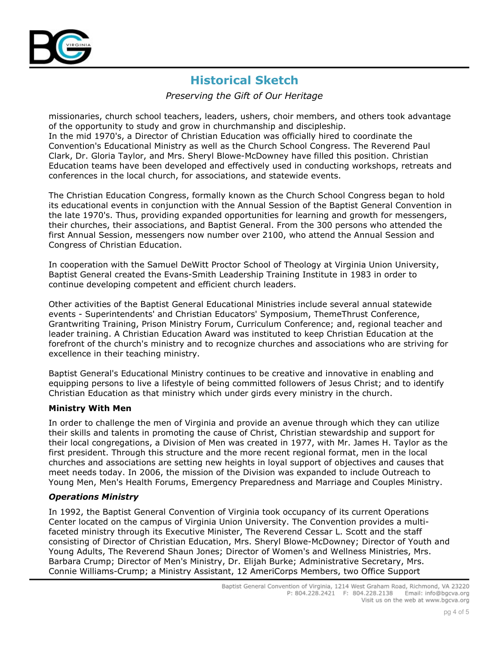

Preserving the Gift of Our Heritage

missionaries, church school teachers, leaders, ushers, choir members, and others took advantage of the opportunity to study and grow in churchmanship and discipleship. In the mid 1970's, a Director of Christian Education was officially hired to coordinate the Convention's Educational Ministry as well as the Church School Congress, The Reverend Paul Clark, Dr. Gloria Taylor, and Mrs. Sheryl Blowe-McDowney have filled this position. Christian Education teams have been developed and effectively used in conducting workshops, retreats and conferences in the local church, for associations, and statewide events.

The Christian Education Congress, formally known as the Church School Congress began to hold its educational events in conjunction with the Annual Session of the Baptist General Convention in the late 1970's. Thus, providing expanded opportunities for learning and growth for messengers, their churches, their associations, and Baptist General. From the 300 persons who attended the first Annual Session, messengers now number over 2100, who attend the Annual Session and Congress of Christian Education.

In cooperation with the Samuel DeWitt Proctor School of Theology at Virginia Union University, Baptist General created the Evans-Smith Leadership Training Institute in 1983 in order to continue developing competent and efficient church leaders.

Other activities of the Baptist General Educational Ministries include several annual statewide events - Superintendents' and Christian Educators' Symposium, ThemeThrust Conference, Grantwriting Training, Prison Ministry Forum, Curriculum Conference; and, regional teacher and leader training. A Christian Education Award was instituted to keep Christian Education at the forefront of the church's ministry and to recognize churches and associations who are striving for excellence in their teaching ministry.

Baptist General's Educational Ministry continues to be creative and innovative in enabling and equipping persons to live a lifestyle of being committed followers of Jesus Christ; and to identify Christian Education as that ministry which under girds every ministry in the church.

### **Ministry With Men**

In order to challenge the men of Virginia and provide an avenue through which they can utilize their skills and talents in promoting the cause of Christ, Christian stewardship and support for their local congregations, a Division of Men was created in 1977, with Mr. James H. Taylor as the first president. Through this structure and the more recent regional format, men in the local churches and associations are setting new heights in loyal support of objectives and causes that meet needs today. In 2006, the mission of the Division was expanded to include Outreach to Young Men, Men's Health Forums, Emergency Preparedness and Marriage and Couples Ministry.

### **Operations Ministry**

In 1992, the Baptist General Convention of Virginia took occupancy of its current Operations Center located on the campus of Virginia Union University. The Convention provides a multifaceted ministry through its Executive Minister, The Reverend Cessar L. Scott and the staff consisting of Director of Christian Education, Mrs. Sheryl Blowe-McDowney; Director of Youth and Young Adults, The Reverend Shaun Jones; Director of Women's and Wellness Ministries, Mrs. Barbara Crump; Director of Men's Ministry, Dr. Elijah Burke; Administrative Secretary, Mrs. Connie Williams-Crump; a Ministry Assistant, 12 AmeriCorps Members, two Office Support